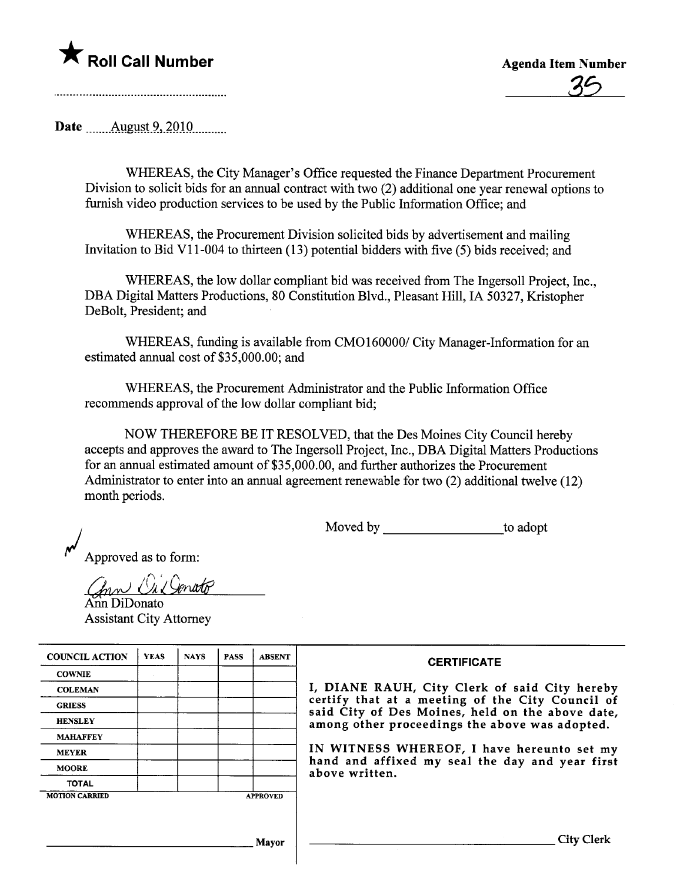## \* Roll Call Number Agenda Item Number

Date \_\_\_\_\_\_ August 9, 2010 \_\_\_\_\_\_

WHEREAS, the City Manager's Office requested the Finance Department Procurement Division to solicit bids for an anual contract with two (2) additional one year renewal options to furnish video production services to be used by the Public Information Office; and

WHEREAS, the Procurement Division solicited bids by advertisement and mailing Invitation to Bid VII-004 to thirteen (13) potential bidders with five (5) bids received; and

WHEREAS, the low dollar compliant bid was received from The Ingersoll Project, Inc., DBA Digital Matters Productions, 80 Constitution Blvd., Pleasant Hill, IA 50327, Kristopher DeBolt, President; and

WHEREAS, fuding is available from CM0160000/ City Manager-Information for an estimated annual cost of \$35,000.00; and

WHEREAS, the Procurement Administrator and the Public Information Office recommends approval of the low dollar compliant bid;

NOW THEREFORE BE IT RESOLVED, that the Des Moines City Council hereby accepts and approves the award to The Ingersoll Project, Inc., DBA Digital Matters Productions for an annual estimated amount of \$35,000.00, and further authorizes the Procurement Administrator to enter into an anual agreement renewable for two (2) additional twelve (12) month periods.

Moved by to adopt

Approved as to form:

in an *Chrn Orl Generato*<br>Ann DiDonato

Assistant City Attorney

| <b>COUNCIL ACTION</b> | <b>YEAS</b> | <b>NAYS</b> | <b>PASS</b> | <b>ABSENT</b>   | <b>CERTIFICATE</b>                                                                                   |
|-----------------------|-------------|-------------|-------------|-----------------|------------------------------------------------------------------------------------------------------|
| <b>COWNIE</b>         |             |             |             |                 |                                                                                                      |
| <b>COLEMAN</b>        |             |             |             |                 | I, DIANE RAUH, City Clerk of said City hereby                                                        |
| <b>GRIESS</b>         |             |             |             |                 | certify that at a meeting of the City Council of<br>said City of Des Moines, held on the above date, |
| <b>HENSLEY</b>        |             |             |             |                 | among other proceedings the above was adopted.                                                       |
| <b>MAHAFFEY</b>       |             |             |             |                 |                                                                                                      |
| <b>MEYER</b>          |             |             |             |                 | IN WITNESS WHEREOF, I have hereunto set my                                                           |
| <b>MOORE</b>          |             |             |             |                 | hand and affixed my seal the day and year first<br>above written.                                    |
| <b>TOTAL</b>          |             |             |             |                 |                                                                                                      |
| <b>MOTION CARRIED</b> |             |             |             | <b>APPROVED</b> |                                                                                                      |
|                       |             |             |             |                 |                                                                                                      |
|                       |             |             |             |                 |                                                                                                      |
|                       |             |             |             | Mayor           | City Clerk                                                                                           |